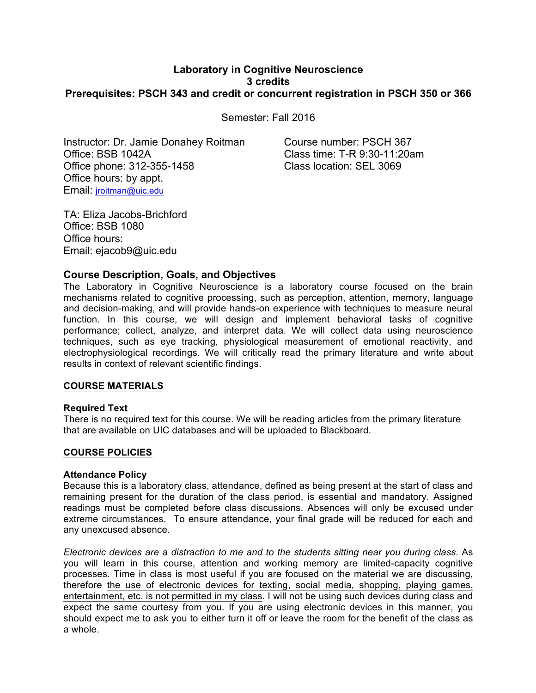# **Laboratory in Cognitive Neuroscience 3 credits Prerequisites: PSCH 343 and credit or concurrent registration in PSCH 350 or 366**

Semester: Fall 2016

Instructor: Dr. Jamie Donahey Roitman Course number: PSCH 367 Office: BSB 1042A Class time: T-R 9:30-11:20am Office phone: 312-355-1458 Class location: SEL 3069 Office hours: by appt. Email: jroitman@uic.edu

TA: Eliza Jacobs-Brichford Office: BSB 1080 Office hours: Email: ejacob9@uic.edu

# **Course Description, Goals, and Objectives**

The Laboratory in Cognitive Neuroscience is a laboratory course focused on the brain mechanisms related to cognitive processing, such as perception, attention, memory, language and decision-making, and will provide hands-on experience with techniques to measure neural function. In this course, we will design and implement behavioral tasks of cognitive performance; collect, analyze, and interpret data. We will collect data using neuroscience techniques, such as eye tracking, physiological measurement of emotional reactivity, and electrophysiological recordings. We will critically read the primary literature and write about results in context of relevant scientific findings.

# **COURSE MATERIALS**

#### **Required Text**

There is no required text for this course. We will be reading articles from the primary literature that are available on UIC databases and will be uploaded to Blackboard.

# **COURSE POLICIES**

#### **Attendance Policy**

Because this is a laboratory class, attendance, defined as being present at the start of class and remaining present for the duration of the class period, is essential and mandatory. Assigned readings must be completed before class discussions. Absences will only be excused under extreme circumstances. To ensure attendance, your final grade will be reduced for each and any unexcused absence.

*Electronic devices are a distraction to me and to the students sitting near you during class.* As you will learn in this course, attention and working memory are limited-capacity cognitive processes. Time in class is most useful if you are focused on the material we are discussing, therefore the use of electronic devices for texting, social media, shopping, playing games, entertainment, etc. is not permitted in my class. I will not be using such devices during class and expect the same courtesy from you. If you are using electronic devices in this manner, you should expect me to ask you to either turn it off or leave the room for the benefit of the class as a whole.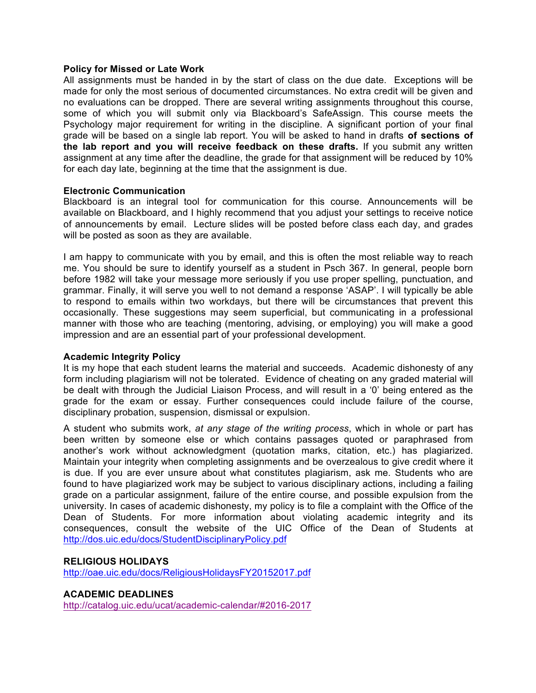#### **Policy for Missed or Late Work**

All assignments must be handed in by the start of class on the due date. Exceptions will be made for only the most serious of documented circumstances. No extra credit will be given and no evaluations can be dropped. There are several writing assignments throughout this course, some of which you will submit only via Blackboard's SafeAssign. This course meets the Psychology major requirement for writing in the discipline. A significant portion of your final grade will be based on a single lab report. You will be asked to hand in drafts **of sections of the lab report and you will receive feedback on these drafts.** If you submit any written assignment at any time after the deadline, the grade for that assignment will be reduced by 10% for each day late, beginning at the time that the assignment is due.

#### **Electronic Communication**

Blackboard is an integral tool for communication for this course. Announcements will be available on Blackboard, and I highly recommend that you adjust your settings to receive notice of announcements by email. Lecture slides will be posted before class each day, and grades will be posted as soon as they are available.

I am happy to communicate with you by email, and this is often the most reliable way to reach me. You should be sure to identify yourself as a student in Psch 367. In general, people born before 1982 will take your message more seriously if you use proper spelling, punctuation, and grammar. Finally, it will serve you well to not demand a response 'ASAP'. I will typically be able to respond to emails within two workdays, but there will be circumstances that prevent this occasionally. These suggestions may seem superficial, but communicating in a professional manner with those who are teaching (mentoring, advising, or employing) you will make a good impression and are an essential part of your professional development.

#### **Academic Integrity Policy**

It is my hope that each student learns the material and succeeds. Academic dishonesty of any form including plagiarism will not be tolerated. Evidence of cheating on any graded material will be dealt with through the Judicial Liaison Process, and will result in a '0' being entered as the grade for the exam or essay. Further consequences could include failure of the course, disciplinary probation, suspension, dismissal or expulsion.

A student who submits work, *at any stage of the writing process*, which in whole or part has been written by someone else or which contains passages quoted or paraphrased from another's work without acknowledgment (quotation marks, citation, etc.) has plagiarized. Maintain your integrity when completing assignments and be overzealous to give credit where it is due. If you are ever unsure about what constitutes plagiarism, ask me. Students who are found to have plagiarized work may be subject to various disciplinary actions, including a failing grade on a particular assignment, failure of the entire course, and possible expulsion from the university. In cases of academic dishonesty, my policy is to file a complaint with the Office of the Dean of Students. For more information about violating academic integrity and its consequences, consult the website of the UIC Office of the Dean of Students at http://dos.uic.edu/docs/StudentDisciplinaryPolicy.pdf

#### **RELIGIOUS HOLIDAYS**

http://oae.uic.edu/docs/ReligiousHolidaysFY20152017.pdf

#### **ACADEMIC DEADLINES**

http://catalog.uic.edu/ucat/academic-calendar/#2016-2017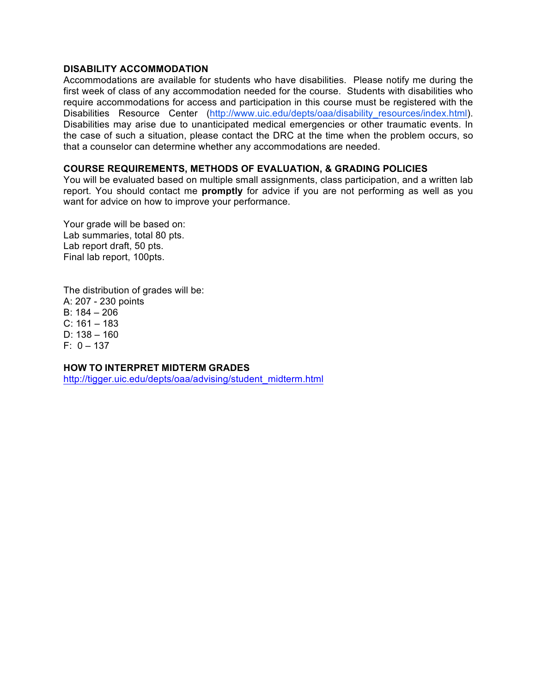### **DISABILITY ACCOMMODATION**

Accommodations are available for students who have disabilities. Please notify me during the first week of class of any accommodation needed for the course. Students with disabilities who require accommodations for access and participation in this course must be registered with the Disabilities Resource Center (http://www.uic.edu/depts/oaa/disability resources/index.html). Disabilities may arise due to unanticipated medical emergencies or other traumatic events. In the case of such a situation, please contact the DRC at the time when the problem occurs, so that a counselor can determine whether any accommodations are needed.

## **COURSE REQUIREMENTS, METHODS OF EVALUATION, & GRADING POLICIES**

You will be evaluated based on multiple small assignments, class participation, and a written lab report. You should contact me **promptly** for advice if you are not performing as well as you want for advice on how to improve your performance.

Your grade will be based on: Lab summaries, total 80 pts. Lab report draft, 50 pts. Final lab report, 100pts.

The distribution of grades will be: A: 207 - 230 points B: 184 – 206  $C: 161 - 183$ D:  $138 - 160$  $F: 0 - 137$ 

# **HOW TO INTERPRET MIDTERM GRADES**

http://tigger.uic.edu/depts/oaa/advising/student\_midterm.html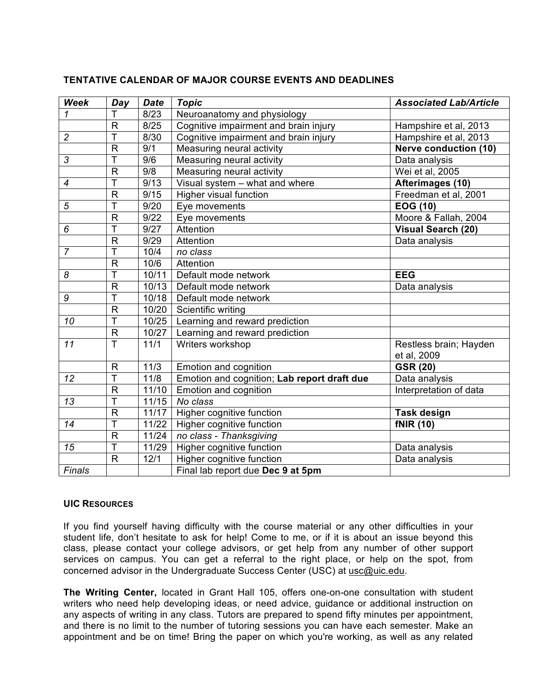| Week            | Day                     | <b>Date</b>      | <b>Topic</b>                                | <b>Associated Lab/Article</b> |
|-----------------|-------------------------|------------------|---------------------------------------------|-------------------------------|
| 1               | Т                       | 8/23             | Neuroanatomy and physiology                 |                               |
|                 | R                       | 8/25             | Cognitive impairment and brain injury       | Hampshire et al, 2013         |
| $\overline{c}$  | Ť                       | 8/30             | Cognitive impairment and brain injury       | Hampshire et al, 2013         |
|                 | $\mathsf{R}$            | 9/1              | Measuring neural activity                   | <b>Nerve conduction (10)</b>  |
| $\overline{3}$  | T                       | $\overline{9/6}$ | Measuring neural activity                   | Data analysis                 |
|                 | R                       | 9/8              | Measuring neural activity                   | Wei et al, 2005               |
| $\overline{4}$  | T                       | 9/13             | Visual system - what and where              | Afterimages (10)              |
|                 | $\mathsf{R}$            | 9/15             | <b>Higher visual function</b>               | Freedman et al, 2001          |
| 5               | T                       | 9/20             | Eye movements                               | <b>EOG (10)</b>               |
|                 | $\mathsf{R}$            | 9/22             | Eye movements                               | Moore & Fallah, 2004          |
| 6               | Ť                       | 9/27             | Attention                                   | <b>Visual Search (20)</b>     |
|                 | $\mathsf{R}$            | 9/29             | Attention                                   | Data analysis                 |
| $\overline{7}$  | T                       | 10/4             | no class                                    |                               |
|                 | $\mathsf{R}$            | 10/6             | Attention                                   |                               |
| 8               | $\overline{\mathsf{T}}$ | 10/11            | Default mode network                        | <b>EEG</b>                    |
|                 | $\mathsf{R}$            | 10/13            | Default mode network                        | Data analysis                 |
| 9               | Ŧ                       | 10/18            | Default mode network                        |                               |
|                 | $\mathsf{R}$            | 10/20            | Scientific writing                          |                               |
| 10              | T                       | 10/25            | Learning and reward prediction              |                               |
|                 | $\overline{R}$          | 10/27            | Learning and reward prediction              |                               |
| 11              | $\overline{\mathsf{T}}$ | 11/1             | Writers workshop                            | Restless brain; Hayden        |
|                 |                         |                  |                                             | et al, 2009                   |
|                 | $\mathsf{R}$            | 11/3             | Emotion and cognition                       | <b>GSR (20)</b>               |
| $\overline{12}$ | T                       | 11/8             | Emotion and cognition; Lab report draft due | Data analysis                 |
|                 | $\mathsf{R}$            | 11/10            | Emotion and cognition                       | Interpretation of data        |
| 13              | T                       | 11/15            | No class                                    |                               |
|                 | $\mathsf{R}$            | 11/17            | Higher cognitive function                   | <b>Task design</b>            |
| 14              | Ť                       | 11/22            | Higher cognitive function                   | <b>fNIR (10)</b>              |
|                 | $\mathsf{R}$            | 11/24            | no class - Thanksgiving                     |                               |
| 15              | T                       | 11/29            | Higher cognitive function                   | Data analysis                 |
|                 | $\mathsf{R}$            | 12/1             | Higher cognitive function                   | Data analysis                 |
| Finals          |                         |                  | Final lab report due Dec 9 at 5pm           |                               |

# **TENTATIVE CALENDAR OF MAJOR COURSE EVENTS AND DEADLINES**

#### **UIC RESOURCES**

If you find yourself having difficulty with the course material or any other difficulties in your student life, don't hesitate to ask for help! Come to me, or if it is about an issue beyond this class, please contact your college advisors, or get help from any number of other support services on campus. You can get a referral to the right place, or help on the spot, from concerned advisor in the Undergraduate Success Center (USC) at usc@uic.edu.

**The Writing Center,** located in Grant Hall 105, offers one-on-one consultation with student writers who need help developing ideas, or need advice, guidance or additional instruction on any aspects of writing in any class. Tutors are prepared to spend fifty minutes per appointment, and there is no limit to the number of tutoring sessions you can have each semester. Make an appointment and be on time! Bring the paper on which you're working, as well as any related